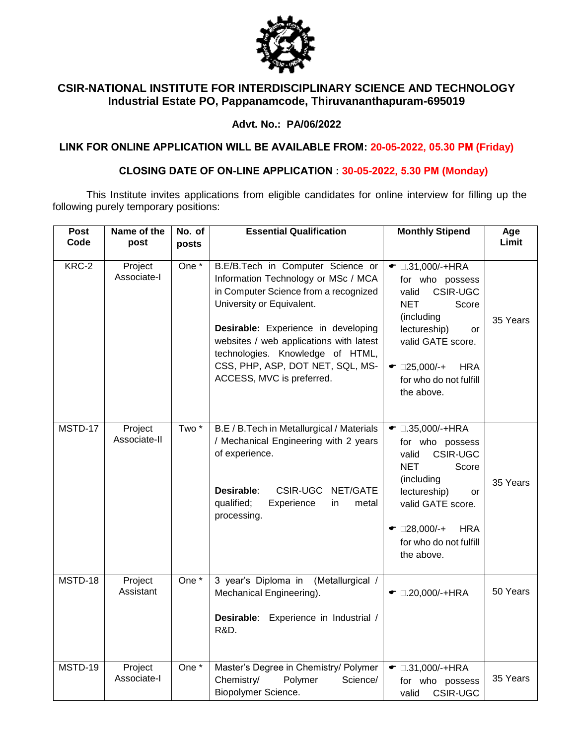

# **CSIR-NATIONAL INSTITUTE FOR INTERDISCIPLINARY SCIENCE AND TECHNOLOGY Industrial Estate PO, Pappanamcode, Thiruvananthapuram-695019**

### **Advt. No.: PA/06/2022**

**LINK FOR ONLINE APPLICATION WILL BE AVAILABLE FROM: 20-05-2022, 05.30 PM (Friday)**

## **CLOSING DATE OF ON-LINE APPLICATION : 30-05-2022, 5.30 PM (Monday)**

This Institute invites applications from eligible candidates for online interview for filling up the following purely temporary positions:

| <b>Post</b><br>Code | Name of the<br>post     | No. of<br>posts    | <b>Essential Qualification</b>                                                                                                                                                                                                                                                                                                        | <b>Monthly Stipend</b>                                                                                                                                                                                                               | Age<br>Limit |
|---------------------|-------------------------|--------------------|---------------------------------------------------------------------------------------------------------------------------------------------------------------------------------------------------------------------------------------------------------------------------------------------------------------------------------------|--------------------------------------------------------------------------------------------------------------------------------------------------------------------------------------------------------------------------------------|--------------|
|                     |                         |                    |                                                                                                                                                                                                                                                                                                                                       |                                                                                                                                                                                                                                      |              |
| KRC-2               | Project<br>Associate-I  | One <sup>*</sup>   | B.E/B.Tech in Computer Science or<br>Information Technology or MSc / MCA<br>in Computer Science from a recognized<br>University or Equivalent.<br>Desirable: Experience in developing<br>websites / web applications with latest<br>technologies. Knowledge of HTML,<br>CSS, PHP, ASP, DOT NET, SQL, MS-<br>ACCESS, MVC is preferred. | $\bullet$ 0.31,000/-+HRA<br>for who possess<br><b>CSIR-UGC</b><br>valid<br><b>NET</b><br>Score<br>(including<br>lectureship)<br>or<br>valid GATE score.<br>$\bullet$ 25,000/-+<br><b>HRA</b><br>for who do not fulfill<br>the above. | 35 Years     |
| MSTD-17             | Project<br>Associate-II | Two <sup>*</sup>   | B.E / B.Tech in Metallurgical / Materials<br>/ Mechanical Engineering with 2 years<br>of experience.<br>Desirable:<br><b>CSIR-UGC</b><br>NET/GATE<br>qualified;<br>Experience<br>in<br>metal<br>processing.                                                                                                                           | $\bullet$ 0.35,000/-+HRA<br>for who possess<br><b>CSIR-UGC</b><br>valid<br><b>NET</b><br>Score<br>(including<br>lectureship)<br>or<br>valid GATE score.<br>$\bullet$ 28,000/-+<br><b>HRA</b><br>for who do not fulfill<br>the above. | 35 Years     |
| MSTD-18             | Project<br>Assistant    | One $\overline{ }$ | 3 year's Diploma in<br>(Metallurgical /<br>Mechanical Engineering).<br>Desirable:<br>Experience in Industrial /<br><b>R&amp;D.</b>                                                                                                                                                                                                    | $\bullet$ 0.20,000/-+HRA                                                                                                                                                                                                             | 50 Years     |
| MSTD-19             | Project<br>Associate-I  | One $*$            | Master's Degree in Chemistry/ Polymer<br>Chemistry/<br>Polymer<br>Science/<br>Biopolymer Science.                                                                                                                                                                                                                                     | $\bullet$ 0.31,000/-+HRA<br>for who possess<br><b>CSIR-UGC</b><br>valid                                                                                                                                                              | 35 Years     |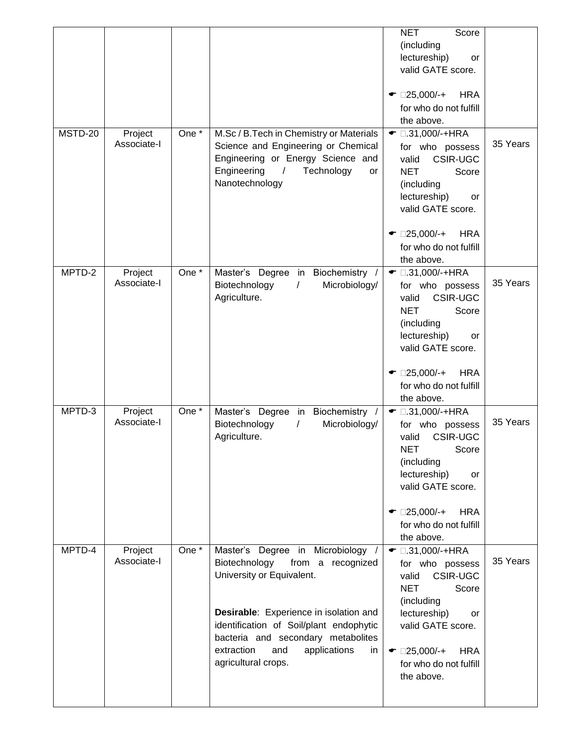|         |                        |                    |                                                                                                                                                                                                                                                                                                 | <b>NET</b><br>Score<br>(including<br>lectureship)<br><b>or</b><br>valid GATE score.<br>$\bullet$ 25,000/-+<br><b>HRA</b><br>for who do not fulfill<br>the above.                                                                     |          |
|---------|------------------------|--------------------|-------------------------------------------------------------------------------------------------------------------------------------------------------------------------------------------------------------------------------------------------------------------------------------------------|--------------------------------------------------------------------------------------------------------------------------------------------------------------------------------------------------------------------------------------|----------|
| MSTD-20 | Project<br>Associate-I | One $\overline{A}$ | M.Sc / B.Tech in Chemistry or Materials<br>Science and Engineering or Chemical<br>Engineering or Energy Science and<br>Engineering<br>Technology<br>$\prime$<br>or<br>Nanotechnology                                                                                                            | $\bullet$ 0.31,000/-+HRA<br>for who possess<br><b>CSIR-UGC</b><br>valid<br><b>NET</b><br>Score<br>(including<br>lectureship)<br>or<br>valid GATE score.<br>$\bullet$ 25,000/-+<br><b>HRA</b><br>for who do not fulfill<br>the above. | 35 Years |
| MPTD-2  | Project<br>Associate-I | One $\overline{A}$ | Master's Degree in Biochemistry /<br>Microbiology/<br>Biotechnology<br>$\sqrt{2}$<br>Agriculture.                                                                                                                                                                                               | $\bullet$ 0.31,000/-+HRA<br>for who possess<br><b>CSIR-UGC</b><br>valid<br><b>NET</b><br>Score<br>(including<br>lectureship)<br>or<br>valid GATE score.<br><b>HRA</b><br>$\bullet$ 25,000/-+<br>for who do not fulfill<br>the above. | 35 Years |
| MPTD-3  | Project<br>Associate-I | One $\overline{A}$ | Master's Degree in Biochemistry /<br>Biotechnology<br>Microbiology/<br>$\prime$<br>Agriculture.                                                                                                                                                                                                 | $\bullet$ 0.31,000/-+HRA<br>for who possess<br>valid<br><b>CSIR-UGC</b><br><b>NET</b><br>Score<br>(including<br>lectureship)<br>or<br>valid GATE score.<br>$\bullet$ 25,000/-+<br><b>HRA</b><br>for who do not fulfill<br>the above. | 35 Years |
| MPTD-4  | Project<br>Associate-I | One *              | Master's Degree in Microbiology<br>Biotechnology<br>from a recognized<br>University or Equivalent.<br>Desirable: Experience in isolation and<br>identification of Soil/plant endophytic<br>bacteria and secondary metabolites<br>extraction<br>and<br>applications<br>in<br>agricultural crops. | $\bullet$ 0.31,000/-+HRA<br>for who possess<br><b>CSIR-UGC</b><br>valid<br><b>NET</b><br>Score<br>(including<br>lectureship)<br>or<br>valid GATE score.<br>$\bullet$ 25,000/-+<br><b>HRA</b><br>for who do not fulfill<br>the above. | 35 Years |